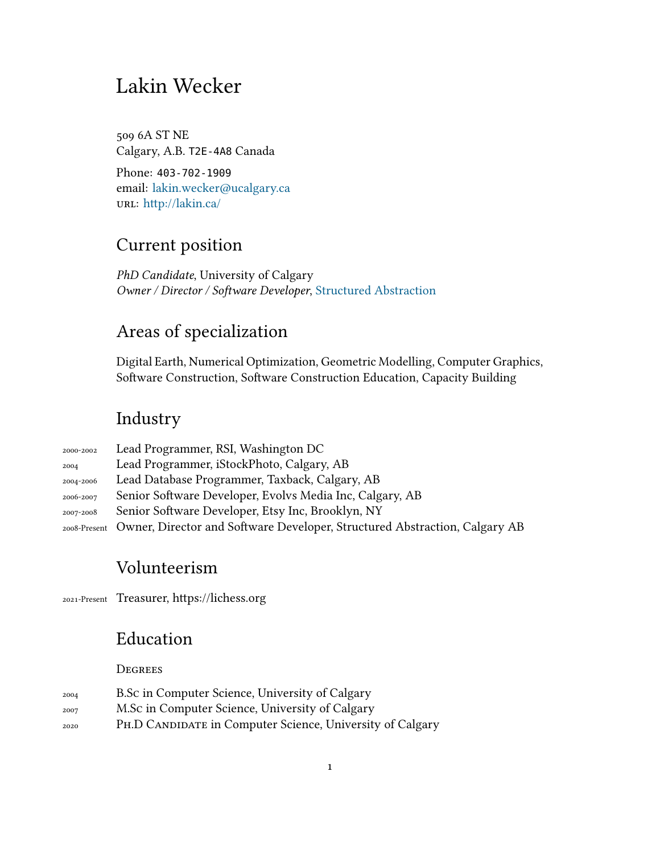# Lakin Wecker

509 6A ST NE Calgary, A.B. T2E-4A8 Canada Phone: 403-702-1909

email: [lakin.wecker@ucalgary.ca](mailto:lakin.wecker@ucalgary.ca) uRl: <http://lakin.ca/>

## Current position

*PhD Candidate*, University of Calgary *Owner / Director / Software Developer*, [Structured Abstraction](https://www.structuredabstraction.com/)

# Areas of specialization

Digital Earth, Numerical Optimization, Geometric Modelling, Computer Graphics, Software Construction, Software Construction Education, Capacity Building

### Industry

| 2000-2002 | Lead Programmer, RSI, Washington DC                                                     |
|-----------|-----------------------------------------------------------------------------------------|
| 2004      | Lead Programmer, iStockPhoto, Calgary, AB                                               |
| 2004-2006 | Lead Database Programmer, Taxback, Calgary, AB                                          |
| 2006-2007 | Senior Software Developer, Evolvs Media Inc, Calgary, AB                                |
| 2007-2008 | Senior Software Developer, Etsy Inc, Brooklyn, NY                                       |
|           | 2008-Present Owner, Director and Software Developer, Structured Abstraction, Calgary AB |
|           |                                                                                         |

### Volunteerism

2021-Present Treasurer, https://lichess.org

## Education

**DEGREES** 

- <sup>2004</sup> B.Sc in Computer Science, University of Calgary
- <sup>2007</sup> M.Sc in Computer Science, University of Calgary
- <sup>2020</sup> Ph.D Candidate in Computer Science, University of Calgary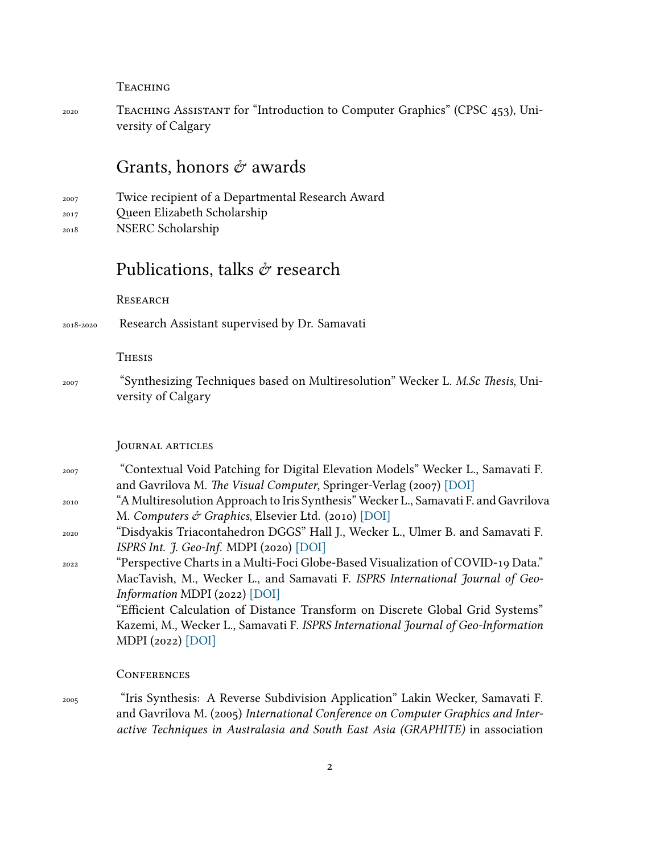**TEACHING** 

<sup>2020</sup> Teaching Assistant for "Introduction to Computer Graphics" (CPSC 453), University of Calgary

#### Grants, honors  $\dot{\sigma}$  awards

- <sup>2007</sup> Twice recipient of a Departmental Research Award
- <sup>2017</sup> Queen Elizabeth Scholarship
- <sup>2018</sup> NSERC Scholarship

#### Publications, talks  $\hat{\sigma}$  research

**RESEARCH** 

2018-2020 Research Assistant supervised by Dr. Samavati

**THESIS** 

<sup>2007</sup> "Synthesizing Techniques based on Multiresolution" Wecker L. *M.Sc Thesis*, University of Calgary

#### JouRnal aRticles

- <sup>2007</sup> "Contextual Void Patching for Digital Elevation Models" Wecker L., Samavati F. and Gavrilova M. *The Visual Computer*, Springer-Verlag (2007) [\[DOI\]](https://doi.org/10.1007/s00371-007-0148-1)
- <sup>2010</sup> "A Multiresolution Approach to Iris Synthesis" Wecker L., Samavati F. and Gavrilova M. *Computers & Graphics*, Elsevier Ltd. (2010) [\[DOI\]](https://doi.org/10.1016/j.cag.2010.05.012)
- <sup>2020</sup> "Disdyakis Triacontahedron DGGS" Hall J., Wecker L., Ulmer B. and Samavati F. *ISPRS Int. J. Geo-Inf.* MDPI (2020) [\[DOI\]](https://doi.org/10.3390/ijgi9050315)
- <sup>2022</sup> "Perspective Charts in a Multi-Foci Globe-Based Visualization of COVID-19 Data." MacTavish, M., Wecker L., and Samavati F. *ISPRS International Journal of Geo-Information* MDPI (2022) [\[DOI\]](https://doi.org/10.3390/ijgi11040223) "Efficient Calculation of Distance Transform on Discrete Global Grid Systems"

Kazemi, M., Wecker L., Samavati F. *ISPRS International Journal of Geo-Information* MDPI (2022) [\[DOI\]](https://doi.org/10.3390/ijgi11060322)

#### **CONFERENCES**

<sup>2005</sup> "Iris Synthesis: A Reverse Subdivision Application" Lakin Wecker, Samavati F. and Gavrilova M. (2005) *International Conference on Computer Graphics and Interactive Techniques in Australasia and South East Asia (GRAPHITE)* in association